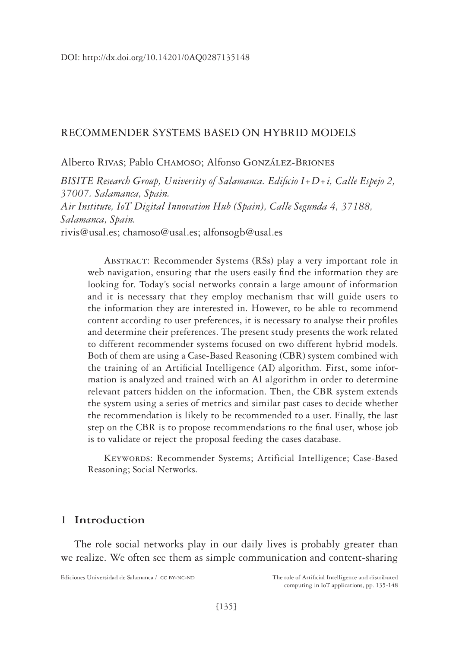#### RECOMMENDER SYSTEMS BASED ON HYBRID MODELS

#### Alberto Rivas; Pablo Chamoso; Alfonso González-Briones

*BISITE Research Group, University of Salamanca. Edificio I+D+i, Calle Espejo 2, 37007. Salamanca, Spain. Air Institute, IoT Digital Innovation Hub (Spain), Calle Segunda 4, 37188, Salamanca, Spain.* rivis@usal.es; chamoso@usal.es; alfonsogb@usal.es

Abstract: Recommender Systems (RSs) play a very important role in web navigation, ensuring that the users easily find the information they are looking for. Today's social networks contain a large amount of information and it is necessary that they employ mechanism that will guide users to the information they are interested in. However, to be able to recommend content according to user preferences, it is necessary to analyse their profiles and determine their preferences. The present study presents the work related to different recommender systems focused on two different hybrid models. Both of them are using a Case-Based Reasoning (CBR) system combined with the training of an Artificial Intelligence (AI) algorithm. First, some information is analyzed and trained with an AI algorithm in order to determine relevant patters hidden on the information. Then, the CBR system extends the system using a series of metrics and similar past cases to decide whether the recommendation is likely to be recommended to a user. Finally, the last step on the CBR is to propose recommendations to the final user, whose job is to validate or reject the proposal feeding the cases database.

Keywords: Recommender Systems; Artificial Intelligence; Case-Based Reasoning; Social Networks.

## **1 Introduction**

The role social networks play in our daily lives is probably greater than we realize. We often see them as simple communication and content-sharing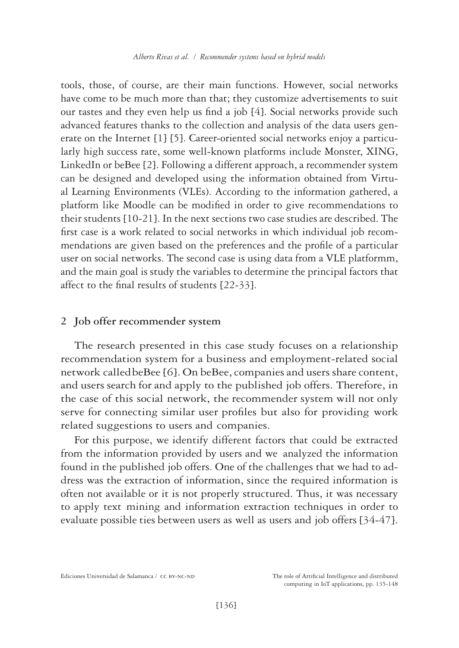tools, those, of course, are their main functions. However, social networks have come to be much more than that; they customize advertisements to suit our tastes and they even help us find a job [4]. Social networks provide such advanced features thanks to the collection and analysis of the data users generate on the Internet [1] [5]. Career-oriented social networks enjoy a particularly high success rate, some well-known platforms include Monster, XING, LinkedIn or beBee [2]. Following a different approach, a recommender system can be designed and developed using the information obtained from Virtual Learning Environments (VLEs). According to the information gathered, a platform like Moodle can be modified in order to give recommendations to their students [10-21]. In the next sections two case studies are described. The first case is a work related to social networks in which individual job recommendations are given based on the preferences and the profile of a particular user on social networks. The second case is using data from a VLE platformm, and the main goal is study the variables to determine the principal factors that affect to the final results of students [22-33].

#### **2 Job offer recommender system**

The research presented in this case study focuses on a relationship recommendation system for a business and employment-related social network called beBee [6]. On beBee, companies and users share content, and users search for and apply to the published job offers. Therefore, in the case of this social network, the recommender system will not only serve for connecting similar user profiles but also for providing work related suggestions to users and companies.

For this purpose, we identify different factors that could be extracted from the information provided by users and we analyzed the information found in the published job offers. One of the challenges that we had to address was the extraction of information, since the required information is often not available or it is not properly structured. Thus, it was necessary to apply text mining and information extraction techniques in order to evaluate possible ties between users as well as users and job offers [34-47].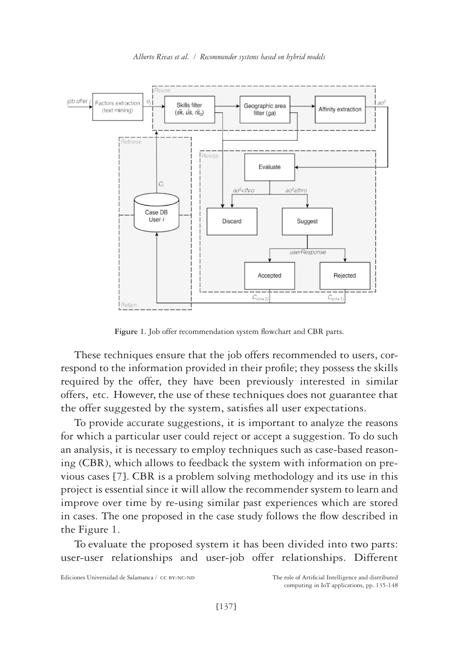

**Figure 1.** Job offer recommendation system flowchart and CBR parts.

These techniques ensure that the job offers recommended to users, correspond to the information provided in their profile; they possess the skills required by the offer, they have been previously interested in similar offers, etc. However, the use of these techniques does not guarantee that the offer suggested by the system, satisfies all user expectations.

To provide accurate suggestions, it is important to analyze the reasons for which a particular user could reject or accept a suggestion. To do such an analysis, it is necessary to employ techniques such as case-based reasoning (CBR), which allows to feedback the system with information on previous cases [7]. CBR is a problem solving methodology and its use in this project is essential since it will allow the recommender system to learn and improve over time by re-using similar past experiences which are stored in cases. The one proposed in the case study follows the flow described in the Figure 1.

To evaluate the proposed system it has been divided into two parts: user-user relationships and user-job offer relationships. Different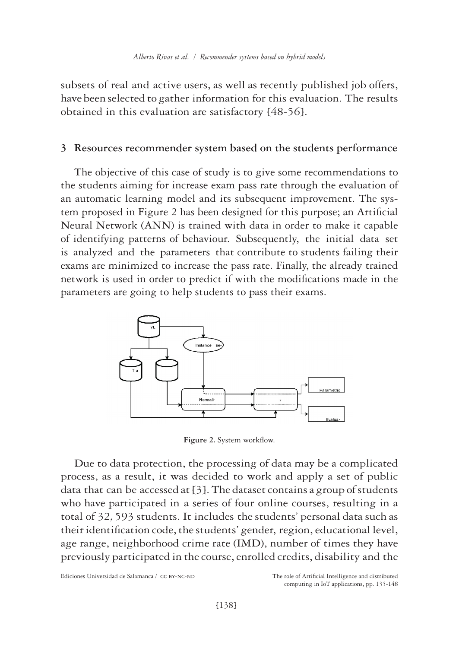subsets of real and active users, as well as recently published job offers, have been selected to gather information for this evaluation. The results obtained in this evaluation are satisfactory [48-56].

### **3 Resources recommender system based on the students performance**

The objective of this case of study is to give some recommendations to the students aiming for increase exam pass rate through the evaluation of an automatic learning model and its subsequent improvement. The system proposed in Figure 2 has been designed for this purpose; an Artificial Neural Network (ANN) is trained with data in order to make it capable of identifying patterns of behaviour. Subsequently, the initial data set is analyzed and the parameters that contribute to students failing their exams are minimized to increase the pass rate. Finally, the already trained network is used in order to predict if with the modifications made in the parameters are going to help students to pass their exams.



**Figure 2.** System workflow.

Due to data protection, the processing of data may be a complicated process, as a result, it was decided to work and apply a set of public data that can be accessed at [3]. The dataset contains a group of students who have participated in a series of four online courses, resulting in a total of 32*,* 593 students. It includes the students' personal data such as their identification code, the students' gender, region, educational level, age range, neighborhood crime rate (IMD), number of times they have previously participated in the course, enrolled credits, disability and the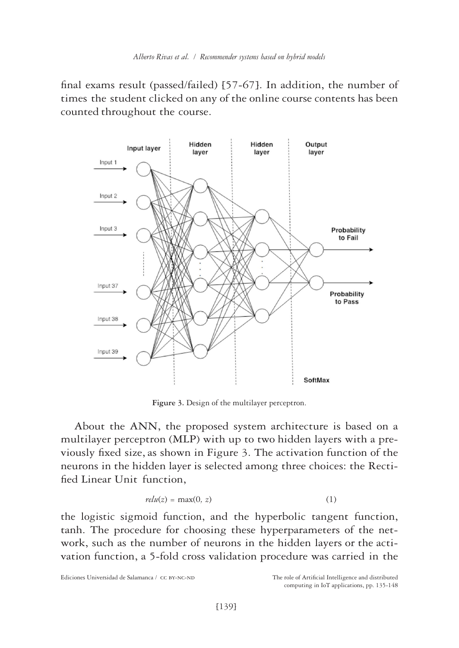final exams result (passed/failed) [57-67]. In addition, the number of times the student clicked on any of the online course contents has been counted throughout the course.



**Figure 3.** Design of the multilayer perceptron.

About the ANN, the proposed system architecture is based on a multilayer perceptron (MLP) with up to two hidden layers with a previously fixed size, as shown in Figure 3. The activation function of the neurons in the hidden layer is selected among three choices: the Rectified Linear Unit function,

$$
relu(z) = \max(0, z) \tag{1}
$$

the logistic sigmoid function, and the hyperbolic tangent function, tanh. The procedure for choosing these hyperparameters of the network, such as the number of neurons in the hidden layers or the activation function, a 5-fold cross validation procedure was carried in the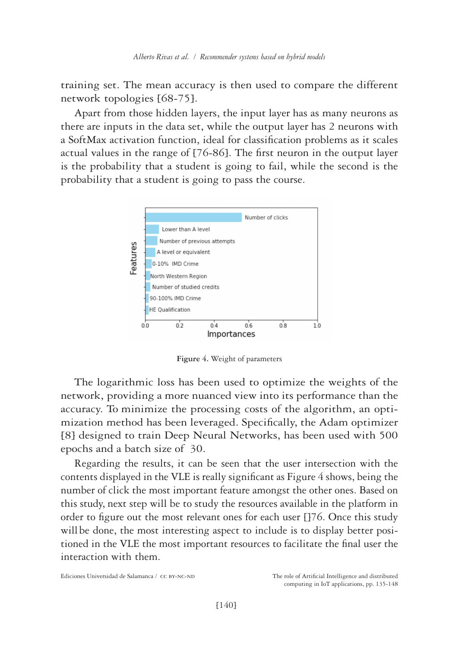training set. The mean accuracy is then used to compare the different network topologies [68-75].

Apart from those hidden layers, the input layer has as many neurons as there are inputs in the data set, while the output layer has 2 neurons with a SoftMax activation function, ideal for classification problems as it scales actual values in the range of [76-86]. The first neuron in the output layer is the probability that a student is going to fail, while the second is the probability that a student is going to pass the course.



**Figure 4.** Weight of parameters

The logarithmic loss has been used to optimize the weights of the network, providing a more nuanced view into its performance than the accuracy. To minimize the processing costs of the algorithm, an optimization method has been leveraged. Specifically, the Adam optimizer [8] designed to train Deep Neural Networks, has been used with 500 epochs and a batch size of 30.

Regarding the results, it can be seen that the user intersection with the contents displayed in the VLE is really significant as Figure 4 shows, being the number of click the most important feature amongst the other ones. Based on this study, next step will be to study the resources available in the platform in order to figure out the most relevant ones for each user []76. Once this study will be done, the most interesting aspect to include is to display better positioned in the VLE the most important resources to facilitate the final user the interaction with them.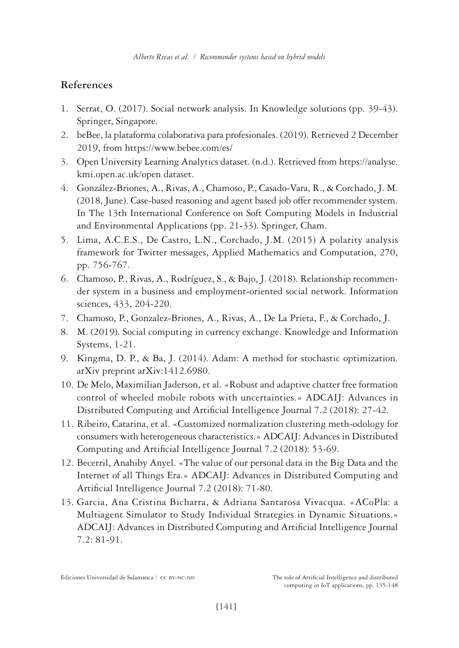# **References**

- 1. Serrat, O. (2017). Social network analysis. In Knowledge solutions (pp. 39-43). Springer, Singapore.
- 2. beBee, la plataforma colaborativa para profesionales. (2019). Retrieved 2 December 2019, from<https://www.bebee.com/es/>
- 3. Open University Learning Analytics dataset. (n.d.). Retrieved from [https://analyse.](https://analyse.kmi.open.ac.uk/open dataset) [kmi.open.ac.uk/open dataset](https://analyse.kmi.open.ac.uk/open dataset).
- 4. González-Briones, A., Rivas, A., Chamoso, P., Casado-Vara, R., & Corchado, J. M. (2018, June). Case-based reasoning and agent based job offer recommender system. In The 13th International Conference on Soft Computing Models in Industrial and Environmental Applications (pp. 21-33). Springer, Cham.
- 5. Lima, A.C.E.S., De Castro, L.N., Corchado, J.M. (2015) A polarity analysis framework for Twitter messages, Applied Mathematics and Computation, 270, pp. 756-767.
- 6. Chamoso, P., Rivas, A., Rodríguez, S., & Bajo, J. (2018). Relationship recommender system in a business and employment-oriented social network. Information sciences, 433, 204-220.
- 7. Chamoso, P., Gonzalez-Briones, A., Rivas, A., De La Prieta, F., & Corchado, J.
- 8. M. (2019). Social computing in currency exchange. Knowledge and Information Systems, 1-21.
- 9. Kingma, D. P., & Ba, J. (2014). Adam: A method for stochastic optimization. arXiv preprint arXiv:1412.6980.
- 10. De Melo, Maximilian Jaderson, et al. «Robust and adaptive chatter free formation control of wheeled mobile robots with uncertainties.» ADCAIJ: Advances in Distributed Computing and Artificial Intelligence Journal 7.2 (2018): 27-42.
- 11. Ribeiro, Catarina, et al. «Customized normalization clustering meth-odology for consumers with heterogeneous characteristics.» ADCAIJ: Advances in Distributed Computing and Artificial Intelligence Journal 7.2 (2018): 53-69.
- 12. Becerril, Anahiby Anyel. «The value of our personal data in the Big Data and the Internet of all Things Era.» ADCAIJ: Advances in Distributed Computing and Artificial Intelligence Journal 7.2 (2018): 71-80.
- 13. Garcia, Ana Cristina Bicharra, & Adriana Santarosa Vivacqua. «ACoPla: a Multiagent Simulator to Study Individual Strategies in Dynamic Situations.» ADCAIJ: Advances in Distributed Computing and Artificial Intelligence Journal 7.2: 81-91.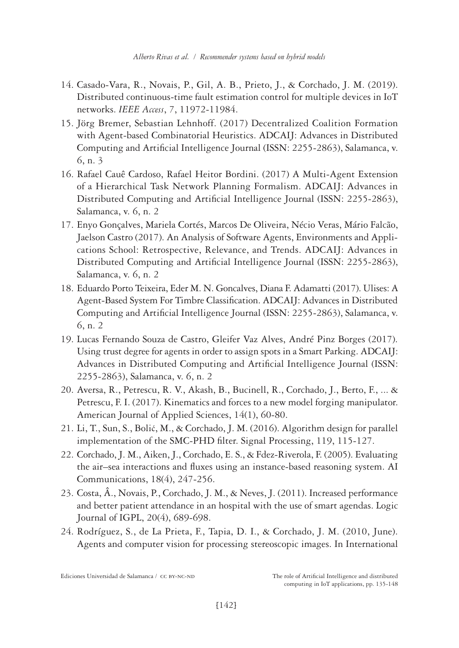- 14. Casado-Vara, R., Novais, P., Gil, A. B., Prieto, J., & Corchado, J. M. (2019). Distributed continuous-time fault estimation control for multiple devices in IoT networks. *IEEE Access*, *7*, 11972-11984.
- 15. Jörg Bremer, Sebastian Lehnhoff. (2017) Decentralized Coalition Formation with Agent-based Combinatorial Heuristics. ADCAIJ: Advances in Distributed Computing and Artificial Intelligence Journal (ISSN: 2255-2863), Salamanca, v. 6, n. 3
- 16. Rafael Cauê Cardoso, Rafael Heitor Bordini. (2017) A Multi-Agent Extension of a Hierarchical Task Network Planning Formalism. ADCAIJ: Advances in Distributed Computing and Artificial Intelligence Journal (ISSN: 2255-2863), Salamanca, v. 6, n. 2
- 17. Enyo Gonçalves, Mariela Cortés, Marcos De Oliveira, Nécio Veras, Mário Falcão, Jaelson Castro (2017). An Analysis of Software Agents, Environments and Applications School: Retrospective, Relevance, and Trends. ADCAIJ: Advances in Distributed Computing and Artificial Intelligence Journal (ISSN: 2255-2863), Salamanca, v. 6, n. 2
- 18. Eduardo Porto Teixeira, Eder M. N. Goncalves, Diana F. Adamatti (2017). Ulises: A Agent-Based System For Timbre Classification. ADCAIJ: Advances in Distributed Computing and Artificial Intelligence Journal (ISSN: 2255-2863), Salamanca, v. 6, n. 2
- 19. Lucas Fernando Souza de Castro, Gleifer Vaz Alves, André Pinz Borges (2017). Using trust degree for agents in order to assign spots in a Smart Parking. ADCAIJ: Advances in Distributed Computing and Artificial Intelligence Journal (ISSN: 2255-2863), Salamanca, v. 6, n. 2
- 20. Aversa, R., Petrescu, R. V., Akash, B., Bucinell, R., Corchado, J., Berto, F., ... & Petrescu, F. I. (2017). Kinematics and forces to a new model forging manipulator. American Journal of Applied Sciences, 14(1), 60-80.
- 21. Li, T., Sun, S., Bolić, M., & Corchado, J. M. (2016). Algorithm design for parallel implementation of the SMC-PHD filter. Signal Processing, 119, 115-127.
- 22. Corchado, J. M., Aiken, J., Corchado, E. S., & Fdez-Riverola, F. (2005). Evaluating the air–sea interactions and fluxes using an instance-based reasoning system. AI Communications, 18(4), 247-256.
- 23. Costa, Â., Novais, P., Corchado, J. M., & Neves, J. (2011). Increased performance and better patient attendance in an hospital with the use of smart agendas. Logic Journal of IGPL, 20(4), 689-698.
- 24. Rodríguez, S., de La Prieta, F., Tapia, D. I., & Corchado, J. M. (2010, June). Agents and computer vision for processing stereoscopic images. In International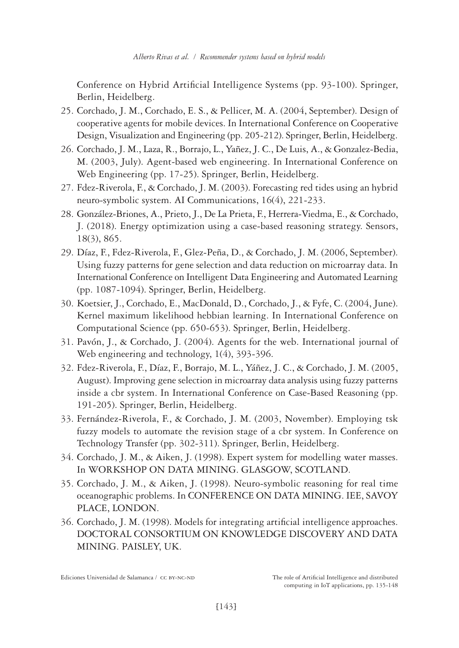Conference on Hybrid Artificial Intelligence Systems (pp. 93-100). Springer, Berlin, Heidelberg.

- 25. Corchado, J. M., Corchado, E. S., & Pellicer, M. A. (2004, September). Design of cooperative agents for mobile devices. In International Conference on Cooperative Design, Visualization and Engineering (pp. 205-212). Springer, Berlin, Heidelberg.
- 26. Corchado, J. M., Laza, R., Borrajo, L., Yañez, J. C., De Luis, A., & Gonzalez-Bedia, M. (2003, July). Agent-based web engineering. In International Conference on Web Engineering (pp. 17-25). Springer, Berlin, Heidelberg.
- 27. Fdez‐Riverola, F., & Corchado, J. M. (2003). Forecasting red tides using an hybrid neuro‐symbolic system. AI Communications, 16(4), 221-233.
- 28. González-Briones, A., Prieto, J., De La Prieta, F., Herrera-Viedma, E., & Corchado, J. (2018). Energy optimization using a case-based reasoning strategy. Sensors, 18(3), 865.
- 29. Díaz, F., Fdez-Riverola, F., Glez-Peña, D., & Corchado, J. M. (2006, September). Using fuzzy patterns for gene selection and data reduction on microarray data. In International Conference on Intelligent Data Engineering and Automated Learning (pp. 1087-1094). Springer, Berlin, Heidelberg.
- 30. Koetsier, J., Corchado, E., MacDonald, D., Corchado, J., & Fyfe, C. (2004, June). Kernel maximum likelihood hebbian learning. In International Conference on Computational Science (pp. 650-653). Springer, Berlin, Heidelberg.
- 31. Pavón, J., & Corchado, J. (2004). Agents for the web. International journal of Web engineering and technology, 1(4), 393-396.
- 32. Fdez-Riverola, F., Díaz, F., Borrajo, M. L., Yáñez, J. C., & Corchado, J. M. (2005, August). Improving gene selection in microarray data analysis using fuzzy patterns inside a cbr system. In International Conference on Case-Based Reasoning (pp. 191-205). Springer, Berlin, Heidelberg.
- 33. Fernández-Riverola, F., & Corchado, J. M. (2003, November). Employing tsk fuzzy models to automate the revision stage of a cbr system. In Conference on Technology Transfer (pp. 302-311). Springer, Berlin, Heidelberg.
- 34. Corchado, J. M., & Aiken, J. (1998). Expert system for modelling water masses. In WORKSHOP ON DATA MINING. GLASGOW, SCOTLAND.
- 35. Corchado, J. M., & Aiken, J. (1998). Neuro-symbolic reasoning for real time oceanographic problems. In CONFERENCE ON DATA MINING. IEE, SAVOY PLACE, LONDON.
- 36. Corchado, J. M. (1998). Models for integrating artificial intelligence approaches. DOCTORAL CONSORTIUM ON KNOWLEDGE DISCOVERY AND DATA MINING. PAISLEY, UK.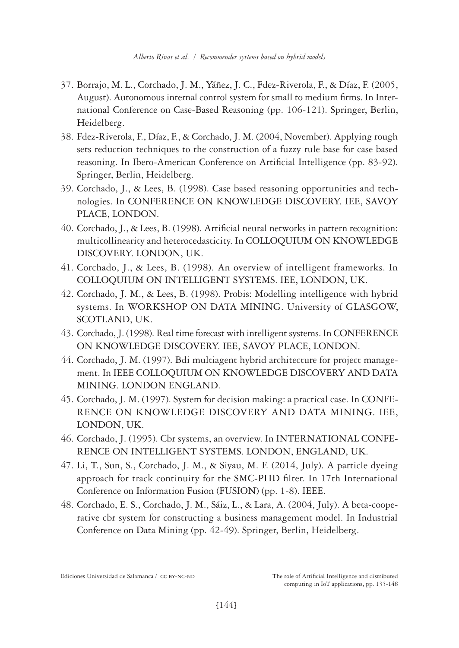- 37. Borrajo, M. L., Corchado, J. M., Yáñez, J. C., Fdez-Riverola, F., & Díaz, F. (2005, August). Autonomous internal control system for small to medium firms. In International Conference on Case-Based Reasoning (pp. 106-121). Springer, Berlin, Heidelberg.
- 38. Fdez-Riverola, F., Díaz, F., & Corchado, J. M. (2004, November). Applying rough sets reduction techniques to the construction of a fuzzy rule base for case based reasoning. In Ibero-American Conference on Artificial Intelligence (pp. 83-92). Springer, Berlin, Heidelberg.
- 39. Corchado, J., & Lees, B. (1998). Case based reasoning opportunities and technologies. In CONFERENCE ON KNOWLEDGE DISCOVERY. IEE, SAVOY PLACE, LONDON.
- 40. Corchado, J., & Lees, B. (1998). Artificial neural networks in pattern recognition: multicollinearity and heterocedasticity. In COLLOQUIUM ON KNOWLEDGE DISCOVERY. LONDON, UK.
- 41. Corchado, J., & Lees, B. (1998). An overview of intelligent frameworks. In COLLOQUIUM ON INTELLIGENT SYSTEMS. IEE, LONDON, UK.
- 42. Corchado, J. M., & Lees, B. (1998). Probis: Modelling intelligence with hybrid systems. In WORKSHOP ON DATA MINING. University of GLASGOW, SCOTLAND, UK.
- 43. Corchado, J. (1998). Real time forecast with intelligent systems. In CONFERENCE ON KNOWLEDGE DISCOVERY. IEE, SAVOY PLACE, LONDON.
- 44. Corchado, J. M. (1997). Bdi multiagent hybrid architecture for project management. In IEEE COLLOQUIUM ON KNOWLEDGE DISCOVERY AND DATA MINING. LONDON ENGLAND.
- 45. Corchado, J. M. (1997). System for decision making: a practical case. In CONFE-RENCE ON KNOWLEDGE DISCOVERY AND DATA MINING. IEE, LONDON, UK.
- 46. Corchado, J. (1995). Cbr systems, an overview. In INTERNATIONAL CONFE-RENCE ON INTELLIGENT SYSTEMS. LONDON, ENGLAND, UK.
- 47. Li, T., Sun, S., Corchado, J. M., & Siyau, M. F. (2014, July). A particle dyeing approach for track continuity for the SMC-PHD filter. In 17th International Conference on Information Fusion (FUSION) (pp. 1-8). IEEE.
- 48. Corchado, E. S., Corchado, J. M., Sáiz, L., & Lara, A. (2004, July). A beta-cooperative cbr system for constructing a business management model. In Industrial Conference on Data Mining (pp. 42-49). Springer, Berlin, Heidelberg.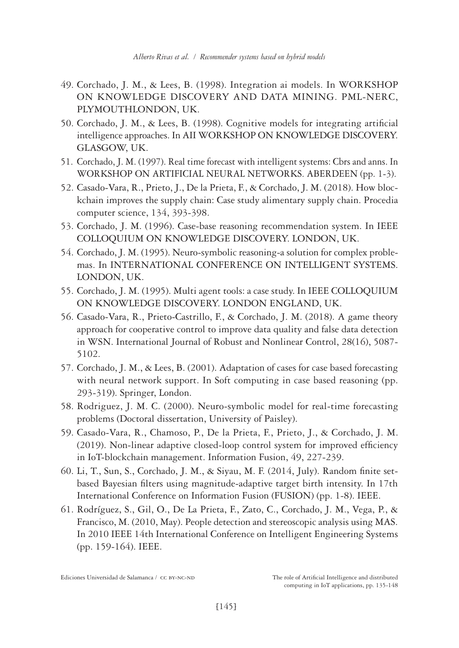- 49. Corchado, J. M., & Lees, B. (1998). Integration ai models. In WORKSHOP ON KNOWLEDGE DISCOVERY AND DATA MINING. PML-NERC, PLYMOUTHLONDON, UK.
- 50. Corchado, J. M., & Lees, B. (1998). Cognitive models for integrating artificial intelligence approaches. In AII WORKSHOP ON KNOWLEDGE DISCOVERY. GLASGOW, UK.
- 51. Corchado, J. M. (1997). Real time forecast with intelligent systems: Cbrs and anns. In WORKSHOP ON ARTIFICIAL NEURAL NETWORKS. ABERDEEN (pp. 1-3).
- 52. Casado-Vara, R., Prieto, J., De la Prieta, F., & Corchado, J. M. (2018). How blockchain improves the supply chain: Case study alimentary supply chain. Procedia computer science, 134, 393-398.
- 53. Corchado, J. M. (1996). Case-base reasoning recommendation system. In IEEE COLLOQUIUM ON KNOWLEDGE DISCOVERY. LONDON, UK.
- 54. Corchado, J. M. (1995). Neuro-symbolic reasoning-a solution for complex problemas. In INTERNATIONAL CONFERENCE ON INTELLIGENT SYSTEMS. LONDON, UK.
- 55. Corchado, J. M. (1995). Multi agent tools: a case study. In IEEE COLLOQUIUM ON KNOWLEDGE DISCOVERY. LONDON ENGLAND, UK.
- 56. Casado‐Vara, R., Prieto‐Castrillo, F., & Corchado, J. M. (2018). A game theory approach for cooperative control to improve data quality and false data detection in WSN. International Journal of Robust and Nonlinear Control, 28(16), 5087- 5102.
- 57. Corchado, J. M., & Lees, B. (2001). Adaptation of cases for case based forecasting with neural network support. In Soft computing in case based reasoning (pp. 293-319). Springer, London.
- 58. Rodriguez, J. M. C. (2000). Neuro-symbolic model for real-time forecasting problems (Doctoral dissertation, University of Paisley).
- 59. Casado-Vara, R., Chamoso, P., De la Prieta, F., Prieto, J., & Corchado, J. M. (2019). Non-linear adaptive closed-loop control system for improved efficiency in IoT-blockchain management. Information Fusion, 49, 227-239.
- 60. Li, T., Sun, S., Corchado, J. M., & Siyau, M. F. (2014, July). Random finite setbased Bayesian filters using magnitude-adaptive target birth intensity. In 17th International Conference on Information Fusion (FUSION) (pp. 1-8). IEEE.
- 61. Rodríguez, S., Gil, O., De La Prieta, F., Zato, C., Corchado, J. M., Vega, P., & Francisco, M. (2010, May). People detection and stereoscopic analysis using MAS. In 2010 IEEE 14th International Conference on Intelligent Engineering Systems (pp. 159-164). IEEE.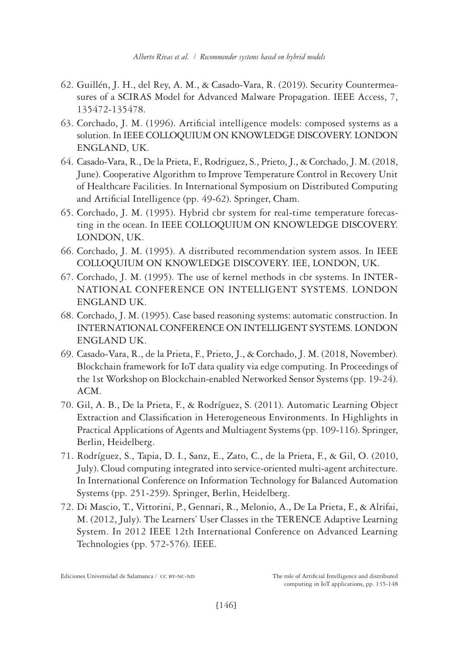- 62. Guillén, J. H., del Rey, A. M., & Casado-Vara, R. (2019). Security Countermeasures of a SCIRAS Model for Advanced Malware Propagation. IEEE Access, 7, 135472-135478.
- 63. Corchado, J. M. (1996). Artificial intelligence models: composed systems as a solution. In IEEE COLLOQUIUM ON KNOWLEDGE DISCOVERY. LONDON ENGLAND, UK.
- 64. Casado-Vara, R., De la Prieta, F., Rodriguez, S., Prieto, J., & Corchado, J. M. (2018, June). Cooperative Algorithm to Improve Temperature Control in Recovery Unit of Healthcare Facilities. In International Symposium on Distributed Computing and Artificial Intelligence (pp. 49-62). Springer, Cham.
- 65. Corchado, J. M. (1995). Hybrid cbr system for real-time temperature forecasting in the ocean. In IEEE COLLOQUIUM ON KNOWLEDGE DISCOVERY. LONDON, UK.
- 66. Corchado, J. M. (1995). A distributed recommendation system assos. In IEEE COLLOQUIUM ON KNOWLEDGE DISCOVERY. IEE, LONDON, UK.
- 67. Corchado, J. M. (1995). The use of kernel methods in cbr systems. In INTER-NATIONAL CONFERENCE ON INTELLIGENT SYSTEMS. LONDON ENGLAND UK.
- 68. Corchado, J. M. (1995). Case based reasoning systems: automatic construction. In INTERNATIONAL CONFERENCE ON INTELLIGENT SYSTEMS. LONDON ENGLAND UK.
- 69. Casado-Vara, R., de la Prieta, F., Prieto, J., & Corchado, J. M. (2018, November). Blockchain framework for IoT data quality via edge computing. In Proceedings of the 1st Workshop on Blockchain-enabled Networked Sensor Systems (pp. 19-24). ACM.
- 70. Gil, A. B., De la Prieta, F., & Rodríguez, S. (2011). Automatic Learning Object Extraction and Classification in Heterogeneous Environments. In Highlights in Practical Applications of Agents and Multiagent Systems (pp. 109-116). Springer, Berlin, Heidelberg.
- 71. Rodríguez, S., Tapia, D. I., Sanz, E., Zato, C., de la Prieta, F., & Gil, O. (2010, July). Cloud computing integrated into service-oriented multi-agent architecture. In International Conference on Information Technology for Balanced Automation Systems (pp. 251-259). Springer, Berlin, Heidelberg.
- 72. Di Mascio, T., Vittorini, P., Gennari, R., Melonio, A., De La Prieta, F., & Alrifai, M. (2012, July). The Learners' User Classes in the TERENCE Adaptive Learning System. In 2012 IEEE 12th International Conference on Advanced Learning Technologies (pp. 572-576). IEEE.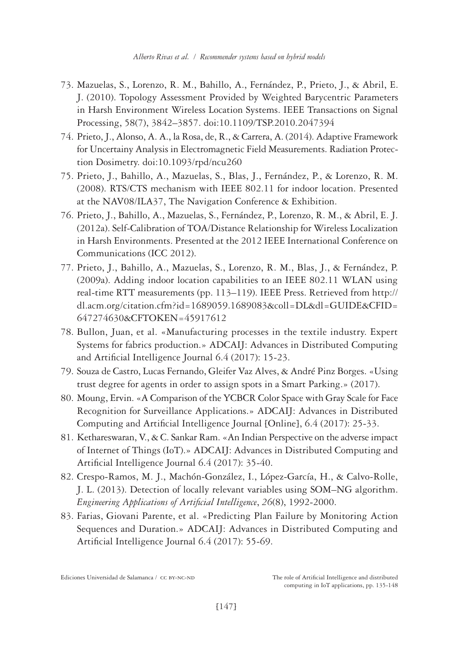- 73. Mazuelas, S., Lorenzo, R. M., Bahillo, A., Fernández, P., Prieto, J., & Abril, E. J. (2010). Topology Assessment Provided by Weighted Barycentric Parameters in Harsh Environment Wireless Location Systems. IEEE Transactions on Signal Processing, 58(7), 3842–3857. doi:10.1109/TSP.2010.2047394
- 74. Prieto, J., Alonso, A. A., la Rosa, de, R., & Carrera, A. (2014). Adaptive Framework for Uncertainy Analysis in Electromagnetic Field Measurements. Radiation Protection Dosimetry. doi:10.1093/rpd/ncu260
- 75. Prieto, J., Bahillo, A., Mazuelas, S., Blas, J., Fernández, P., & Lorenzo, R. M. (2008). RTS/CTS mechanism with IEEE 802.11 for indoor location. Presented at the NAV08/ILA37, The Navigation Conference & Exhibition.
- 76. Prieto, J., Bahillo, A., Mazuelas, S., Fernández, P., Lorenzo, R. M., & Abril, E. J. (2012a). Self-Calibration of TOA/Distance Relationship for Wireless Localization in Harsh Environments. Presented at the 2012 IEEE International Conference on Communications (ICC 2012).
- 77. Prieto, J., Bahillo, A., Mazuelas, S., Lorenzo, R. M., Blas, J., & Fernández, P. (2009a). Adding indoor location capabilities to an IEEE 802.11 WLAN using real-time RTT measurements (pp. 113–119). IEEE Press. Retrieved from [http://](http://dl.acm.org/citation.cfm?id=1689059.1689083&coll=DL&dl=GUIDE&CFID=647274630&CFTOKEN=45917612) [dl.acm.org/citation.cfm?id=1689059.1689083&coll=DL&dl=GUIDE&CFID=](http://dl.acm.org/citation.cfm?id=1689059.1689083&coll=DL&dl=GUIDE&CFID=647274630&CFTOKEN=45917612) [647274630&CFTOKEN=45917612](http://dl.acm.org/citation.cfm?id=1689059.1689083&coll=DL&dl=GUIDE&CFID=647274630&CFTOKEN=45917612)
- 78. Bullon, Juan, et al. «Manufacturing processes in the textile industry. Expert Systems for fabrics production.» ADCAIJ: Advances in Distributed Computing and Artificial Intelligence Journal 6.4 (2017): 15-23.
- 79. Souza de Castro, Lucas Fernando, Gleifer Vaz Alves, & André Pinz Borges. «Using trust degree for agents in order to assign spots in a Smart Parking.» (2017).
- 80. Moung, Ervin. «A Comparison of the YCBCR Color Space with Gray Scale for Face Recognition for Surveillance Applications.» ADCAIJ: Advances in Distributed Computing and Artificial Intelligence Journal [Online], 6.4 (2017): 25-33.
- 81. Kethareswaran, V., & C. Sankar Ram. «An Indian Perspective on the adverse impact of Internet of Things (IoT).» ADCAIJ: Advances in Distributed Computing and Artificial Intelligence Journal 6.4 (2017): 35-40.
- 82. Crespo-Ramos, M. J., Machón-González, I., López-García, H., & Calvo-Rolle, J. L. (2013). Detection of locally relevant variables using SOM–NG algorithm. *Engineering Applications of Artificial Intelligence*, *26*(8), 1992-2000.
- 83. Farias, Giovani Parente, et al. «Predicting Plan Failure by Monitoring Action Sequences and Duration.» ADCAIJ: Advances in Distributed Computing and Artificial Intelligence Journal 6.4 (2017): 55-69.